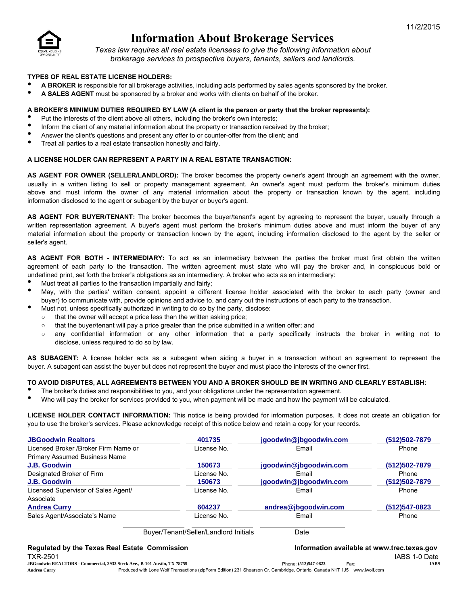

# Information About Brokerage Services

*Texas law requires all real estate licensees to give the following information about brokerage services to prospective buyers, tenants, sellers and landlords.*

## TYPES OF REAL ESTATE LICENSE HOLDERS:

- A BROKER is responsible for all brokerage activities, including acts performed by sales agents sponsored by the broker.
- A SALES AGENT must be sponsored by a broker and works with clients on behalf of the broker.

# A BROKER'S MINIMUM DUTIES REQUIRED BY LAW (A client is the person or party that the broker represents):

- Put the interests of the client above all others, including the broker's own interests;
- Inform the client of any material information about the property or transaction received by the broker;
- Answer the client's questions and present any offer to or counter-offer from the client; and
- Treat all parties to a real estate transaction honestly and fairly.

### A LICENSE HOLDER CAN REPRESENT A PARTY IN A REAL ESTATE TRANSACTION:

AS AGENT FOR OWNER (SELLER/LANDLORD): The broker becomes the property owner's agent through an agreement with the owner, usually in a written listing to sell or property management agreement. An owner's agent must perform the broker's minimum duties above and must inform the owner of any material information about the property or transaction known by the agent, including information disclosed to the agent or subagent by the buyer or buyer's agent.

AS AGENT FOR BUYER/TENANT: The broker becomes the buyer/tenant's agent by agreeing to represent the buyer, usually through a written representation agreement. A buyer's agent must perform the broker's minimum duties above and must inform the buyer of any material information about the property or transaction known by the agent, including information disclosed to the agent by the seller or seller's agent.

AS AGENT FOR BOTH - INTERMEDIARY: To act as an intermediary between the parties the broker must first obtain the written agreement of each party to the transaction. The written agreement must state who will pay the broker and, in conspicuous bold or underlined print, set forth the broker's obligations as an intermediary. A broker who acts as an intermediary:

- Must treat all parties to the transaction impartially and fairly;
- May, with the parties' written consent, appoint a different license holder associated with the broker to each party (owner and buyer) to communicate with, provide opinions and advice to, and carry out the instructions of each party to the transaction.
- Must not, unless specifically authorized in writing to do so by the party, disclose:
	- that the owner will accept a price less than the written asking price;
	- that the buyer/tenant will pay a price greater than the price submitted in a written offer; and
	- any confidential information or any other information that a party specifically instructs the broker in writing not to disclose, unless required to do so by law.

AS SUBAGENT: A license holder acts as a subagent when aiding a buyer in a transaction without an agreement to represent the buyer. A subagent can assist the buyer but does not represent the buyer and must place the interests of the owner first.

#### TO AVOID DISPUTES, ALL AGREEMENTS BETWEEN YOU AND A BROKER SHOULD BE IN WRITING AND CLEARLY ESTABLISH:

- The broker's duties and responsibilities to you, and your obligations under the representation agreement.
- Who will pay the broker for services provided to you, when payment will be made and how the payment will be calculated.

LICENSE HOLDER CONTACT INFORMATION: This notice is being provided for information purposes. It does not create an obligation for you to use the broker's services. Please acknowledge receipt of this notice below and retain a copy for your records.

| <b>JBGoodwin Realtors</b>             | 401735                                | jgoodwin@jbgoodwin.com | (512) 502-7879   |
|---------------------------------------|---------------------------------------|------------------------|------------------|
| Licensed Broker / Broker Firm Name or | License No.                           | Email                  | Phone            |
| <b>Primary Assumed Business Name</b>  |                                       |                        |                  |
| <b>J.B. Goodwin</b>                   | 150673                                | jgoodwin@jbgoodwin.com | (512) 502-7879   |
| Designated Broker of Firm             | License No.                           | Email                  | Phone            |
| <b>J.B. Goodwin</b>                   | 150673                                | jgoodwin@jbgoodwin.com | (512) 502 - 7879 |
| Licensed Supervisor of Sales Agent/   | License No.                           | Email                  | Phone            |
| Associate                             |                                       |                        |                  |
| <b>Andrea Curry</b>                   | 604237                                | andrea@jbqoodwin.com   | (512)547-0823    |
| Sales Agent/Associate's Name          | License No.                           | Email                  | Phone            |
|                                       | Buyer/Tenant/Seller/Landlord Initials | Date                   |                  |
|                                       |                                       |                        |                  |

| <b>Regulated by the Texas Real Estate Commission</b>                     |                                                                                                                          | Information available at www.trec.texas.gov |      |               |
|--------------------------------------------------------------------------|--------------------------------------------------------------------------------------------------------------------------|---------------------------------------------|------|---------------|
| <b>TXR-2501</b>                                                          |                                                                                                                          |                                             |      | IABS 1-0 Date |
| JBGoodwin REALTORS - Commercial, 3933 Steck Ave., B-101 Austin, TX 78759 |                                                                                                                          | Phone: (512)547-0823                        | Fax: | <b>IABS</b>   |
| <b>Andrea Curry</b>                                                      | Produced with Lone Wolf Transactions (zipForm Edition) 231 Shearson Cr. Cambridge, Ontario, Canada N1T 1J5 www.lwolf.com |                                             |      |               |